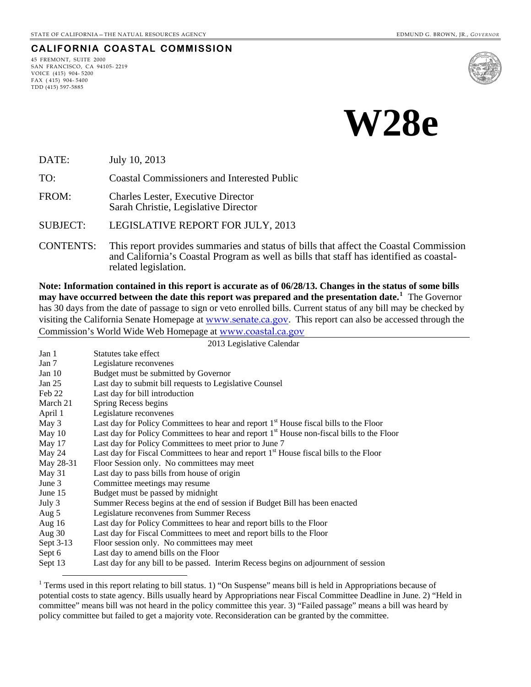#### **CALIFORNIA COASTAL COMMISSION**

45 FREMONT, SUITE 2000 SAN FRANCISCO, CA 94105- 2219 VOICE (415) 904- 5200 FAX ( 415) 904- 5400 TDD (415) 597-5885

 $\overline{a}$ 





DATE: July 10, 2013

TO: Coastal Commissioners and Interested Public

FROM: Charles Lester, Executive Director Sarah Christie, Legislative Director

SUBJECT: LEGISLATIVE REPORT FOR JULY, 2013

CONTENTS: This report provides summaries and status of bills that affect the Coastal Commission and California's Coastal Program as well as bills that staff has identified as coastalrelated legislation.

**Note: Information contained in this report is accurate as of 06/28/13. Changes in the status of some bills may have occurred between the date this report was prepared and the presentation date.[1](#page-0-0)** The Governor has 30 days from the date of passage to sign or veto enrolled bills. Current status of any bill may be checked by visiting the California Senate Homepage at [www.senate.ca.gov](http://www.senate.ca.gov/). This report can also be accessed through the Commission's World Wide Web Homepage at [www.coastal.ca.gov](http://www.coastal.ca.gov/)

2013 Legislative Calendar

| Jan 1     | Statutes take effect                                                                                  |
|-----------|-------------------------------------------------------------------------------------------------------|
| Jan 7     | Legislature reconvenes                                                                                |
| Jan $10$  | Budget must be submitted by Governor                                                                  |
| Jan $25$  | Last day to submit bill requests to Legislative Counsel                                               |
| Feb 22    | Last day for bill introduction                                                                        |
| March 21  | Spring Recess begins                                                                                  |
| April 1   | Legislature reconvenes                                                                                |
| May 3     | Last day for Policy Committees to hear and report 1 <sup>st</sup> House fiscal bills to the Floor     |
| May $10$  | Last day for Policy Committees to hear and report 1 <sup>st</sup> House non-fiscal bills to the Floor |
| May 17    | Last day for Policy Committees to meet prior to June 7                                                |
| May 24    | Last day for Fiscal Committees to hear and report 1 <sup>st</sup> House fiscal bills to the Floor     |
| May 28-31 | Floor Session only. No committees may meet                                                            |
| May 31    | Last day to pass bills from house of origin                                                           |
| June $3$  | Committee meetings may resume                                                                         |
| June 15   | Budget must be passed by midnight                                                                     |
| July 3    | Summer Recess begins at the end of session if Budget Bill has been enacted                            |
| Aug 5     | Legislature reconvenes from Summer Recess                                                             |
| Aug $16$  | Last day for Policy Committees to hear and report bills to the Floor                                  |
| Aug $30$  | Last day for Fiscal Committees to meet and report bills to the Floor                                  |
| Sept 3-13 | Floor session only. No committees may meet                                                            |
| Sept 6    | Last day to amend bills on the Floor                                                                  |
| Sept 13   | Last day for any bill to be passed. Interim Recess begins on adjournment of session                   |

<span id="page-0-0"></span><sup>&</sup>lt;sup>1</sup> Terms used in this report relating to bill status. 1) "On Suspense" means bill is held in Appropriations because of potential costs to state agency. Bills usually heard by Appropriations near Fiscal Committee Deadline in June. 2) "Held in committee" means bill was not heard in the policy committee this year. 3) "Failed passage" means a bill was heard by policy committee but failed to get a majority vote. Reconsideration can be granted by the committee.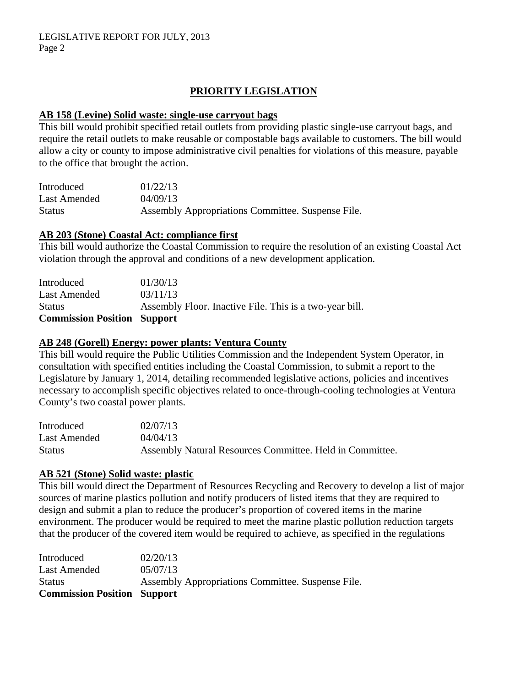# **PRIORITY LEGISLATION**

#### **AB 158 (Levine) Solid waste: single-use carryout bags**

This bill would prohibit specified retail outlets from providing plastic single-use carryout bags, and require the retail outlets to make reusable or compostable bags available to customers. The bill would allow a city or county to impose administrative civil penalties for violations of this measure, payable to the office that brought the action.

| Introduced    | 01/22/13                                          |
|---------------|---------------------------------------------------|
| Last Amended  | 04/09/13                                          |
| <b>Status</b> | Assembly Appropriations Committee. Suspense File. |

#### **AB 203 (Stone) Coastal Act: compliance first**

This bill would authorize the Coastal Commission to require the resolution of an existing Coastal Act violation through the approval and conditions of a new development application.

| <b>Commission Position Support</b> |                                                         |
|------------------------------------|---------------------------------------------------------|
| <b>Status</b>                      | Assembly Floor. Inactive File. This is a two-year bill. |
| Last Amended                       | 03/11/13                                                |
| Introduced                         | 01/30/13                                                |

### **AB 248 (Gorell) Energy: power plants: Ventura County**

This bill would require the Public Utilities Commission and the Independent System Operator, in consultation with specified entities including the Coastal Commission, to submit a report to the Legislature by January 1, 2014, detailing recommended legislative actions, policies and incentives necessary to accomplish specific objectives related to once-through-cooling technologies at Ventura County's two coastal power plants.

| Introduced   | 02/07/13                                                 |
|--------------|----------------------------------------------------------|
| Last Amended | 04/04/13                                                 |
| Status       | Assembly Natural Resources Committee. Held in Committee. |

#### **AB 521 (Stone) Solid waste: plastic**

This bill would direct the Department of Resources Recycling and Recovery to develop a list of major sources of marine plastics pollution and notify producers of listed items that they are required to design and submit a plan to reduce the producer's proportion of covered items in the marine environment. The producer would be required to meet the marine plastic pollution reduction targets that the producer of the covered item would be required to achieve, as specified in the regulations

| Introduced                         | 02/20/13                                          |
|------------------------------------|---------------------------------------------------|
| Last Amended                       | 05/07/13                                          |
| <b>Status</b>                      | Assembly Appropriations Committee. Suspense File. |
| <b>Commission Position Support</b> |                                                   |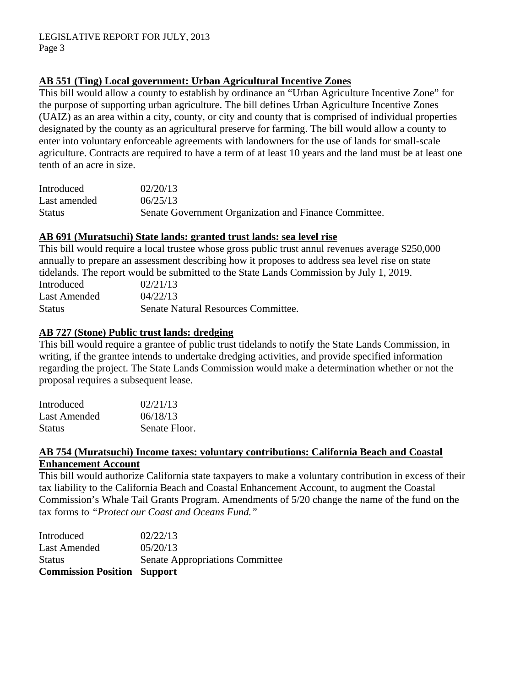# **AB 551 (Ting) Local government: Urban Agricultural Incentive Zones**

This bill would allow a county to establish by ordinance an "Urban Agriculture Incentive Zone" for the purpose of supporting urban agriculture. The bill defines Urban Agriculture Incentive Zones (UAIZ) as an area within a city, county, or city and county that is comprised of individual properties designated by the county as an agricultural preserve for farming. The bill would allow a county to enter into voluntary enforceable agreements with landowners for the use of lands for small-scale agriculture. Contracts are required to have a term of at least 10 years and the land must be at least one tenth of an acre in size.

| Introduced    | 02/20/13                                              |
|---------------|-------------------------------------------------------|
| Last amended  | 06/25/13                                              |
| <b>Status</b> | Senate Government Organization and Finance Committee. |

## **AB 691 (Muratsuchi) State lands: granted trust lands: sea level rise**

This bill would require a local trustee whose gross public trust annul revenues average \$250,000 annually to prepare an assessment describing how it proposes to address sea level rise on state tidelands. The report would be submitted to the State Lands Commission by July 1, 2019.

| Introduced    | 02/21/13                            |
|---------------|-------------------------------------|
| Last Amended  | 04/22/13                            |
| <b>Status</b> | Senate Natural Resources Committee. |

### **AB 727 (Stone) Public trust lands: dredging**

This bill would require a grantee of public trust tidelands to notify the State Lands Commission, in writing, if the grantee intends to undertake dredging activities, and provide specified information regarding the project. The State Lands Commission would make a determination whether or not the proposal requires a subsequent lease.

| Introduced    | 02/21/13      |
|---------------|---------------|
| Last Amended  | 06/18/13      |
| <b>Status</b> | Senate Floor. |

### **AB 754 (Muratsuchi) Income taxes: voluntary contributions: California Beach and Coastal Enhancement Account**

This bill would authorize California state taxpayers to make a voluntary contribution in excess of their tax liability to the California Beach and Coastal Enhancement Account, to augment the Coastal Commission's Whale Tail Grants Program. Amendments of 5/20 change the name of the fund on the tax forms to *"Protect our Coast and Oceans Fund."* 

| <b>Commission Position Support</b> |                                        |
|------------------------------------|----------------------------------------|
| <b>Status</b>                      | <b>Senate Appropriations Committee</b> |
| Last Amended                       | 05/20/13                               |
| Introduced                         | 02/22/13                               |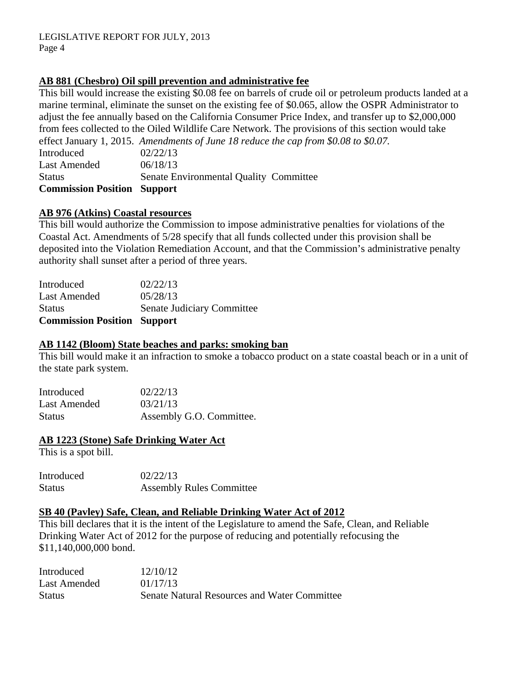## **AB 881 (Chesbro) Oil spill prevention and administrative fee**

This bill would increase the existing \$0.08 fee on barrels of crude oil or petroleum products landed at a marine terminal, eliminate the sunset on the existing fee of \$0.065, allow the OSPR Administrator to adjust the fee annually based on the California Consumer Price Index, and transfer up to \$2,000,000 from fees collected to the Oiled Wildlife Care Network. The provisions of this section would take effect January 1, 2015. *Amendments of June 18 reduce the cap from \$0.08 to \$0.07.* 

Introduced 02/22/13 Last Amended  $06/18/13$ Status Senate Environmental Quality Committee **Commission Position Support** 

### **AB 976 (Atkins) Coastal resources**

This bill would authorize the Commission to impose administrative penalties for violations of the Coastal Act. Amendments of 5/28 specify that all funds collected under this provision shall be deposited into the Violation Remediation Account, and that the Commission's administrative penalty authority shall sunset after a period of three years.

| <b>Commission Position Support</b> |
|------------------------------------|
| Senate Judiciary Committee         |
| 05/28/13                           |
| 02/22/13                           |
|                                    |

#### **AB 1142 (Bloom) State beaches and parks: smoking ban**

This bill would make it an infraction to smoke a tobacco product on a state coastal beach or in a unit of the state park system.

| Introduced   | 02/22/13                 |
|--------------|--------------------------|
| Last Amended | 03/21/13                 |
| Status       | Assembly G.O. Committee. |

#### **AB 1223 (Stone) Safe Drinking Water Act**

This is a spot bill.

| Introduced | 02/22/13                        |
|------------|---------------------------------|
| Status     | <b>Assembly Rules Committee</b> |

#### **SB 40 (Pavley) Safe, Clean, and Reliable Drinking Water Act of 2012**

This bill declares that it is the intent of the Legislature to amend the Safe, Clean, and Reliable Drinking Water Act of 2012 for the purpose of reducing and potentially refocusing the \$11,140,000,000 bond.

| Introduced    | 12/10/12                                            |
|---------------|-----------------------------------------------------|
| Last Amended  | 01/17/13                                            |
| <b>Status</b> | <b>Senate Natural Resources and Water Committee</b> |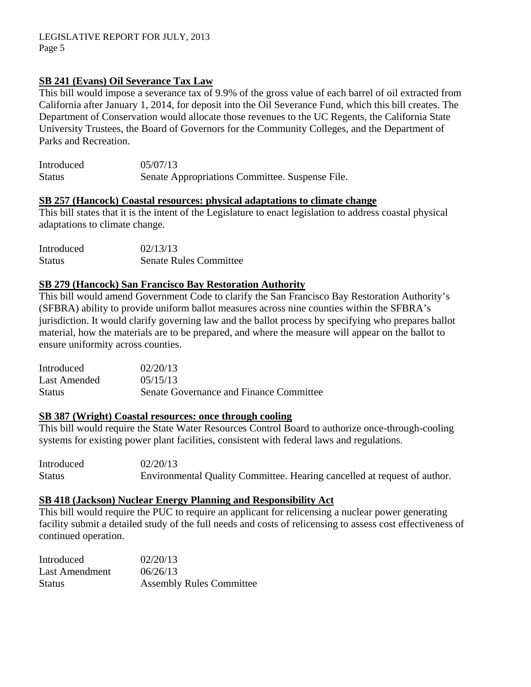## **SB 241 (Evans) Oil Severance Tax Law**

This bill would impose a severance tax of 9.9% of the gross value of each barrel of oil extracted from California after January 1, 2014, for deposit into the Oil Severance Fund, which this bill creates. The Department of Conservation would allocate those revenues to the UC Regents, the California State University Trustees, the Board of Governors for the Community Colleges, and the Department of Parks and Recreation.

| Introduced    | 05/07/13                                        |
|---------------|-------------------------------------------------|
| <b>Status</b> | Senate Appropriations Committee. Suspense File. |

#### **SB 257 (Hancock) Coastal resources: physical adaptations to climate change**

This bill states that it is the intent of the Legislature to enact legislation to address coastal physical adaptations to climate change.

| Introduced    | 02/13/13                      |
|---------------|-------------------------------|
| <b>Status</b> | <b>Senate Rules Committee</b> |

#### **SB 279 (Hancock) San Francisco Bay Restoration Authority**

This bill would amend Government Code to clarify the San Francisco Bay Restoration Authority's (SFBRA) ability to provide uniform ballot measures across nine counties within the SFBRA's jurisdiction. It would clarify governing law and the ballot process by specifying who prepares ballot material, how the materials are to be prepared, and where the measure will appear on the ballot to ensure uniformity across counties.

Introduced 02/20/13 Last Amended  $0.5/15/13$ Status Senate Governance and Finance Committee

#### **SB 387 (Wright) Coastal resources: once through cooling**

This bill would require the State Water Resources Control Board to authorize once-through-cooling systems for existing power plant facilities, consistent with federal laws and regulations.

Introduced 02/20/13 Status Environmental Quality Committee. Hearing cancelled at request of author.

#### **SB 418 (Jackson) Nuclear Energy Planning and Responsibility Act**

This bill would require the PUC to require an applicant for relicensing a nuclear power generating facility submit a detailed study of the full needs and costs of relicensing to assess cost effectiveness of continued operation.

| Introduced            | 02/20/13                        |
|-----------------------|---------------------------------|
| <b>Last Amendment</b> | 06/26/13                        |
| <b>Status</b>         | <b>Assembly Rules Committee</b> |